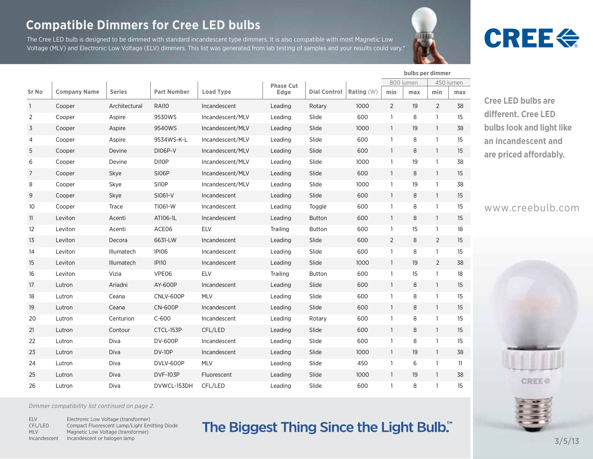#### **Compatible Dimmers for Cree LED bulbs**

The Cree LED bulb is designed to be dimmed with standard incandescent type dimmers. It is also compatible with most Magnetic Low Voltage (MLV) and Electronic Low Voltage (ELV) dimmers. This list was generated from lab testing of samples and your results could vary.\*

# **CREE<sup>4</sup>**

|                |                     |               |                    |                  | <b>Phase Cut</b> |                     |              |                | 800 lumen |                | 450 lumen |  |
|----------------|---------------------|---------------|--------------------|------------------|------------------|---------------------|--------------|----------------|-----------|----------------|-----------|--|
| <b>Sr No</b>   | <b>Company Name</b> | <b>Series</b> | <b>Part Number</b> | <b>Load Type</b> | Edge             | <b>Dial Control</b> | Rating $(W)$ | min            | max       | min            | max       |  |
| $\overline{1}$ | Cooper              | Architectural | <b>RAI10</b>       | Incandescent     | Leading          | Rotary              | 1000         | $\overline{2}$ | 19        | 2              | 38        |  |
| $\overline{2}$ | Cooper              | Aspire        | 9530WS             | Incandescent/MLV | Leading          | Slide               | 600          | $\mathbf{1}$   | 8         | $\overline{1}$ | 15        |  |
| 3              | Cooper              | Aspire        | 9540WS             | Incandescent/MLV | Leading          | Slide               | 1000         | $\mathbf{1}$   | 19        | $\overline{1}$ | 38        |  |
| 4              | Cooper              | Aspire        | 9534WS-K-L         | Incandescent/MLV | Leading          | Slide               | 600          | $\mathbf{1}$   | 8         | $\mathbf{1}$   | 15        |  |
| 5              | Cooper              | Devine        | DI06P-V            | Incandescent/MLV | Leading          | Slide               | 600          | $\mathbf{1}$   | 8         | $\mathbf{1}$   | 15        |  |
| 6              | Cooper              | Devine        | DI10P              | Incandescent/MLV | Leading          | Slide               | 1000         | $\mathbf{1}$   | 19        | $\overline{1}$ | 38        |  |
| 7              | Cooper              | Skye          | SI06P              | Incandescent/MLV | Leading          | Slide               | 600          | $\mathbf{1}$   | 8         | $\mathbf{1}$   | 15        |  |
| 8              | Cooper              | Skye          | SI10P              | Incandescent/MLV | Leading          | Slide               | 1000         | $\mathbf{1}$   | 19        | $\overline{1}$ | 38        |  |
| 9              | Cooper              | Skye          | SI061-V            | Incandescent     | Leading          | Slide               | 600          | $\mathbf{1}$   | 8         | $\overline{1}$ | 15        |  |
| 10             | Cooper              | Trace         | TI061-W            | Incandescent     | Leading          | Toggle              | 600          | $\mathbf{1}$   | 8         | $\mathbf{1}$   | 15        |  |
| 11             | Leviton             | Acenti        | ATI06-1L           | Incandescent     | Leading          | <b>Button</b>       | 600          | $\mathbf{1}$   | 8         | $\mathbf{1}$   | 15        |  |
| 12             | Leviton             | Acenti        | ACE06              | <b>ELV</b>       | Trailing         | <b>Button</b>       | 600          | $\mathbf{1}$   | 15        | $\mathbf{1}$   | 18        |  |
| 13             | Leviton             | Decora        | 6631-LW            | Incandescent     | Leading          | Slide               | 600          | $\overline{2}$ | 8         | $\overline{2}$ | 15        |  |
| 14             | Leviton             | Illumatech    | IPI06              | Incandescent     | Leading          | Slide               | 600          | $\mathbf{1}$   | 8         | $\mathbf{1}$   | 15        |  |
| 15             | Leviton             | Illumatech    | <b>IPI10</b>       | Incandescent     | Leading          | Slide               | 1000         | $\mathbf{1}$   | 19        | 2              | 38        |  |
| 16             | Leviton             | Vizia         | VPE06              | <b>ELV</b>       | Trailing         | <b>Button</b>       | 600          | $\mathbf{1}$   | 15        | $\overline{1}$ | 18        |  |
| 17             | Lutron              | Ariadni       | AY-600P            | Incandescent     | Leading          | Slide               | 600          | $\mathbf{1}$   | 8         | $\mathbf{1}$   | 15        |  |
| 18             | Lutron              | Ceana         | CNLV-600P          | <b>MLV</b>       | Leading          | Slide               | 600          | $\mathbf{1}$   | 8         | $\overline{1}$ | 15        |  |
| 19             | Lutron              | Ceana         | <b>CN-600P</b>     | Incandescent     | Leading          | Slide               | 600          | $\mathbf{1}$   | 8         | $\mathbf{1}$   | 15        |  |
| 20             | Lutron              | Centurion     | $C-600$            | Incandescent     | Leading          | Rotary              | 600          | $\mathbf{1}$   | 8         | $\mathbf{1}$   | 15        |  |
| 21             | Lutron              | Contour       | CTCL-153P          | CFL/LED          | Leading          | Slide               | 600          | $\mathbf{1}$   | 8         | $\overline{1}$ | 15        |  |
| 22             | Lutron              | Diva          | <b>DV-600P</b>     | Incandescent     | Leading          | Slide               | 600          | $\mathbf{1}$   | 8         | $\mathbf{1}$   | 15        |  |
| 23             | Lutron              | Diva          | <b>DV-10P</b>      | Incandescent     | Leading          | Slide               | 1000         | $\mathbf{1}$   | 19        | $\overline{1}$ | 38        |  |
| 24             | Lutron              | Diva          | DVLV-600P          | MLV              | Leading          | Slide               | 450          | $\mathbf{1}$   | 6         | $\overline{1}$ | 11        |  |
| 25             | Lutron              | Diva          | <b>DVF-103P</b>    | Fluorescent      | Leading          | Slide               | 1000         | $\mathbf{1}$   | 19        | $\mathbf{1}$   | 38        |  |
| 26             | Lutron              | Diva          | DVWCL-153DH        | CFL/LED          | Leading          | Slide               | 600          | $\mathbf{1}$   | 8         | $\overline{1}$ | 15        |  |

**Cree LED bulbs are**  different. Cree LED **bulbs look and light like an incandescent and**  are priced affordably.

**bulbs per dimmer**

www.creebulb.com



*Dimmer compatibility list continued on page 2.*

ELV CFL/LED MLV Incandescent Incandescent or halogen lampElectronic Low Voltage (transformer) Compact Fluorescent Lamp/Light Emitting Diode Magnetic Low Voltage (transformer)

## The Biggest Thing Since the Light Bulb."